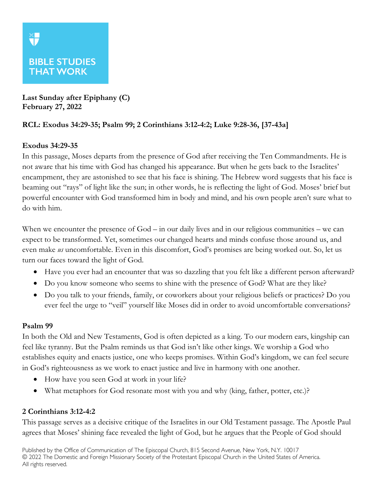# **BIBLE STUDIES THAT WORK**

**Last Sunday after Epiphany (C) February 27, 2022**

## **RCL: Exodus 34:29-35; Psalm 99; 2 Corinthians 3:12-4:2; Luke 9:28-36, [37-43a]**

## **Exodus 34:29-35**

In this passage, Moses departs from the presence of God after receiving the Ten Commandments. He is not aware that his time with God has changed his appearance. But when he gets back to the Israelites' encampment, they are astonished to see that his face is shining. The Hebrew word suggests that his face is beaming out "rays" of light like the sun; in other words, he is reflecting the light of God. Moses' brief but powerful encounter with God transformed him in body and mind, and his own people aren't sure what to do with him.

When we encounter the presence of God – in our daily lives and in our religious communities – we can expect to be transformed. Yet, sometimes our changed hearts and minds confuse those around us, and even make *us* uncomfortable. Even in this discomfort, God's promises are being worked out. So, let us turn our faces toward the light of God.

- Have you ever had an encounter that was so dazzling that you felt like a different person afterward?
- Do you know someone who seems to shine with the presence of God? What are they like?
- Do you talk to your friends, family, or coworkers about your religious beliefs or practices? Do you ever feel the urge to "veil" yourself like Moses did in order to avoid uncomfortable conversations?

#### **Psalm 99**

In both the Old and New Testaments, God is often depicted as a king. To our modern ears, kingship can feel like tyranny. But the Psalm reminds us that God isn't like other kings. We worship a God who establishes equity and enacts justice, one who keeps promises. Within God's kingdom, we can feel secure in God's righteousness as we work to enact justice and live in harmony with one another.

- How have you seen God at work in your life?
- What metaphors for God resonate most with you and why (king, father, potter, etc.)?

## **2 Corinthians 3:12-4:2**

This passage serves as a decisive critique of the Israelites in our Old Testament passage. The Apostle Paul agrees that Moses' shining face revealed the light of God, but he argues that the People of God should

Published by the Office of Communication of The Episcopal Church, 815 Second Avenue, New York, N.Y. 10017 © 2022 The Domestic and Foreign Missionary Society of the Protestant Episcopal Church in the United States of America. All rights reserved.